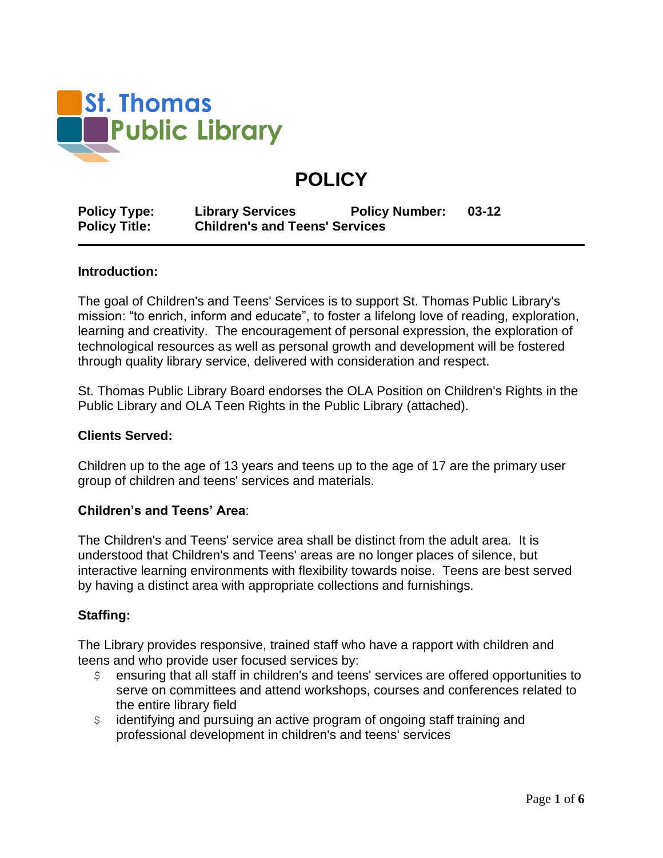

# **POLICY**

**Policy Type: Library Services Policy Number: 03-12 Policy Title: Children's and Teens' Services**

#### **Introduction:**

The goal of Children's and Teens' Services is to support St. Thomas Public Library's mission: "to enrich, inform and educate", to foster a lifelong love of reading, exploration, learning and creativity. The encouragement of personal expression, the exploration of technological resources as well as personal growth and development will be fostered through quality library service, delivered with consideration and respect.

St. Thomas Public Library Board endorses the OLA Position on Children's Rights in the Public Library and OLA Teen Rights in the Public Library (attached).

#### **Clients Served:**

Children up to the age of 13 years and teens up to the age of 17 are the primary user group of children and teens' services and materials.

#### **Children's and Teens' Area**:

The Children's and Teens' service area shall be distinct from the adult area. It is understood that Children's and Teens' areas are no longer places of silence, but interactive learning environments with flexibility towards noise. Teens are best served by having a distinct area with appropriate collections and furnishings.

#### **Staffing:**

The Library provides responsive, trained staff who have a rapport with children and teens and who provide user focused services by:

- \$ ensuring that all staff in children's and teens' services are offered opportunities to serve on committees and attend workshops, courses and conferences related to the entire library field
- \$ identifying and pursuing an active program of ongoing staff training and professional development in children's and teens' services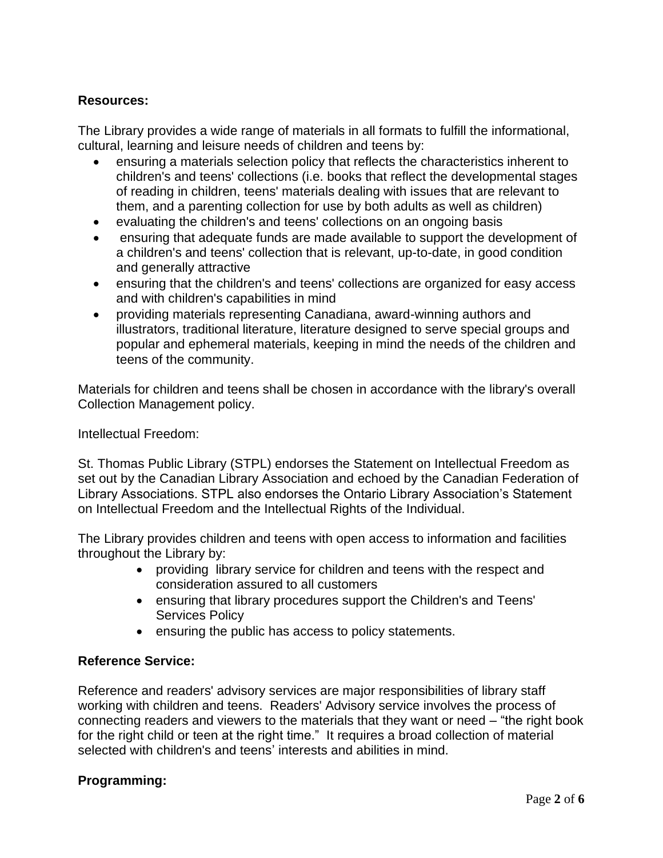# **Resources:**

The Library provides a wide range of materials in all formats to fulfill the informational, cultural, learning and leisure needs of children and teens by:

- ensuring a materials selection policy that reflects the characteristics inherent to children's and teens' collections (i.e. books that reflect the developmental stages of reading in children, teens' materials dealing with issues that are relevant to them, and a parenting collection for use by both adults as well as children)
- evaluating the children's and teens' collections on an ongoing basis
- ensuring that adequate funds are made available to support the development of a children's and teens' collection that is relevant, up-to-date, in good condition and generally attractive
- ensuring that the children's and teens' collections are organized for easy access and with children's capabilities in mind
- providing materials representing Canadiana, award-winning authors and illustrators, traditional literature, literature designed to serve special groups and popular and ephemeral materials, keeping in mind the needs of the children and teens of the community.

Materials for children and teens shall be chosen in accordance with the library's overall Collection Management policy.

Intellectual Freedom:

St. Thomas Public Library (STPL) endorses the Statement on Intellectual Freedom as set out by the Canadian Library Association and echoed by the Canadian Federation of Library Associations. STPL also endorses the Ontario Library Association's Statement on Intellectual Freedom and the Intellectual Rights of the Individual.

The Library provides children and teens with open access to information and facilities throughout the Library by:

- providing library service for children and teens with the respect and consideration assured to all customers
- ensuring that library procedures support the Children's and Teens' Services Policy
- ensuring the public has access to policy statements.

## **Reference Service:**

Reference and readers' advisory services are major responsibilities of library staff working with children and teens. Readers' Advisory service involves the process of connecting readers and viewers to the materials that they want or need – "the right book for the right child or teen at the right time." It requires a broad collection of material selected with children's and teens' interests and abilities in mind.

## **Programming:**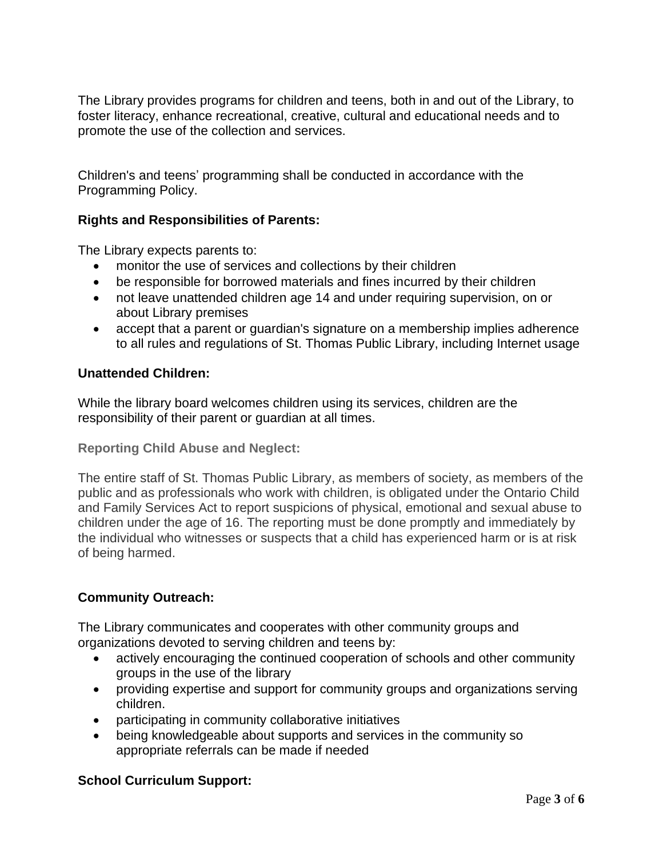The Library provides programs for children and teens, both in and out of the Library, to foster literacy, enhance recreational, creative, cultural and educational needs and to promote the use of the collection and services.

Children's and teens' programming shall be conducted in accordance with the Programming Policy.

# **Rights and Responsibilities of Parents:**

The Library expects parents to:

- monitor the use of services and collections by their children
- be responsible for borrowed materials and fines incurred by their children
- not leave unattended children age 14 and under requiring supervision, on or about Library premises
- accept that a parent or guardian's signature on a membership implies adherence to all rules and regulations of St. Thomas Public Library, including Internet usage

#### **Unattended Children:**

While the library board welcomes children using its services, children are the responsibility of their parent or guardian at all times.

**Reporting Child Abuse and Neglect:**

The entire staff of St. Thomas Public Library, as members of society, as members of the public and as professionals who work with children, is obligated under the Ontario Child and Family Services Act to report suspicions of physical, emotional and sexual abuse to children under the age of 16. The reporting must be done promptly and immediately by the individual who witnesses or suspects that a child has experienced harm or is at risk of being harmed.

## **Community Outreach:**

The Library communicates and cooperates with other community groups and organizations devoted to serving children and teens by:

- actively encouraging the continued cooperation of schools and other community groups in the use of the library
- providing expertise and support for community groups and organizations serving children.
- participating in community collaborative initiatives
- being knowledgeable about supports and services in the community so appropriate referrals can be made if needed

## **School Curriculum Support:**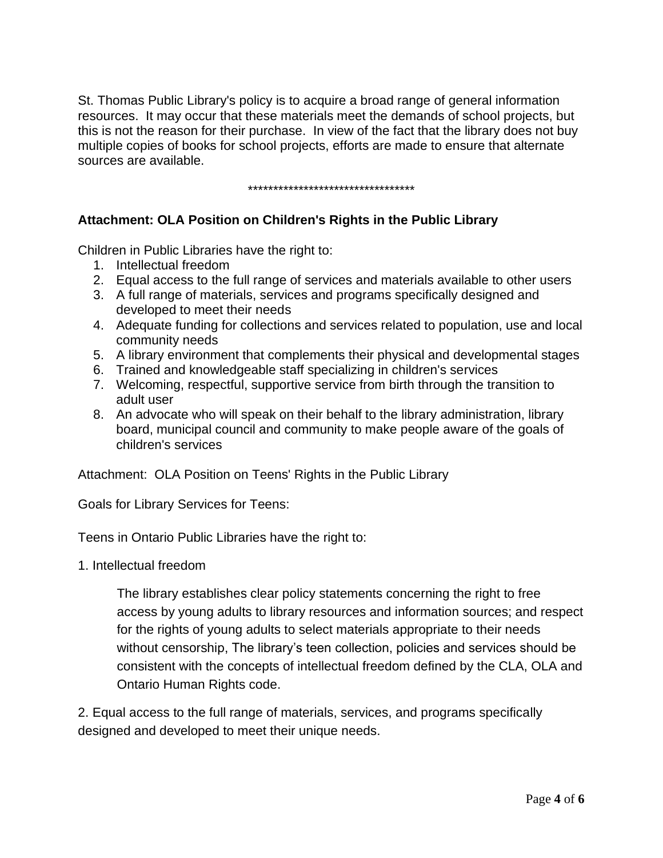St. Thomas Public Library's policy is to acquire a broad range of general information resources. It may occur that these materials meet the demands of school projects, but this is not the reason for their purchase. In view of the fact that the library does not buy multiple copies of books for school projects, efforts are made to ensure that alternate sources are available.

\*\*\*\*\*\*\*\*\*\*\*\*\*\*\*\*\*\*\*\*\*\*\*\*\*\*\*\*\*\*\*\*\*

# **Attachment: OLA Position on Children's Rights in the Public Library**

Children in Public Libraries have the right to:

- 1. Intellectual freedom
- 2. Equal access to the full range of services and materials available to other users
- 3. A full range of materials, services and programs specifically designed and developed to meet their needs
- 4. Adequate funding for collections and services related to population, use and local community needs
- 5. A library environment that complements their physical and developmental stages
- 6. Trained and knowledgeable staff specializing in children's services
- 7. Welcoming, respectful, supportive service from birth through the transition to adult user
- 8. An advocate who will speak on their behalf to the library administration, library board, municipal council and community to make people aware of the goals of children's services

Attachment: OLA Position on Teens' Rights in the Public Library

Goals for Library Services for Teens:

Teens in Ontario Public Libraries have the right to:

1. Intellectual freedom

The library establishes clear policy statements concerning the right to free access by young adults to library resources and information sources; and respect for the rights of young adults to select materials appropriate to their needs without censorship, The library's teen collection, policies and services should be consistent with the concepts of intellectual freedom defined by the CLA, OLA and Ontario Human Rights code.

2. Equal access to the full range of materials, services, and programs specifically designed and developed to meet their unique needs.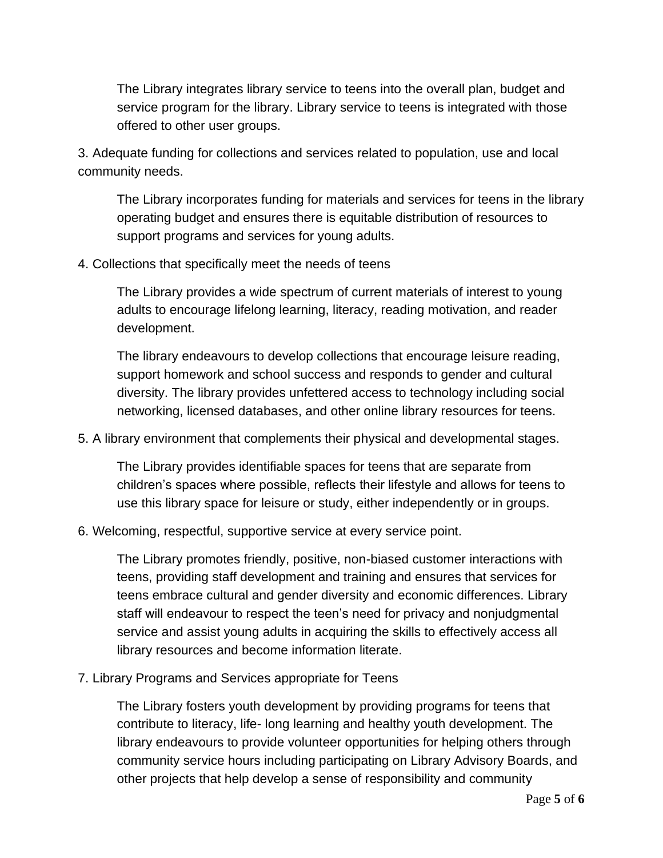The Library integrates library service to teens into the overall plan, budget and service program for the library. Library service to teens is integrated with those offered to other user groups.

3. Adequate funding for collections and services related to population, use and local community needs.

The Library incorporates funding for materials and services for teens in the library operating budget and ensures there is equitable distribution of resources to support programs and services for young adults.

4. Collections that specifically meet the needs of teens

The Library provides a wide spectrum of current materials of interest to young adults to encourage lifelong learning, literacy, reading motivation, and reader development.

The library endeavours to develop collections that encourage leisure reading, support homework and school success and responds to gender and cultural diversity. The library provides unfettered access to technology including social networking, licensed databases, and other online library resources for teens.

5. A library environment that complements their physical and developmental stages.

The Library provides identifiable spaces for teens that are separate from children's spaces where possible, reflects their lifestyle and allows for teens to use this library space for leisure or study, either independently or in groups.

6. Welcoming, respectful, supportive service at every service point.

The Library promotes friendly, positive, non-biased customer interactions with teens, providing staff development and training and ensures that services for teens embrace cultural and gender diversity and economic differences. Library staff will endeavour to respect the teen's need for privacy and nonjudgmental service and assist young adults in acquiring the skills to effectively access all library resources and become information literate.

7. Library Programs and Services appropriate for Teens

The Library fosters youth development by providing programs for teens that contribute to literacy, life- long learning and healthy youth development. The library endeavours to provide volunteer opportunities for helping others through community service hours including participating on Library Advisory Boards, and other projects that help develop a sense of responsibility and community